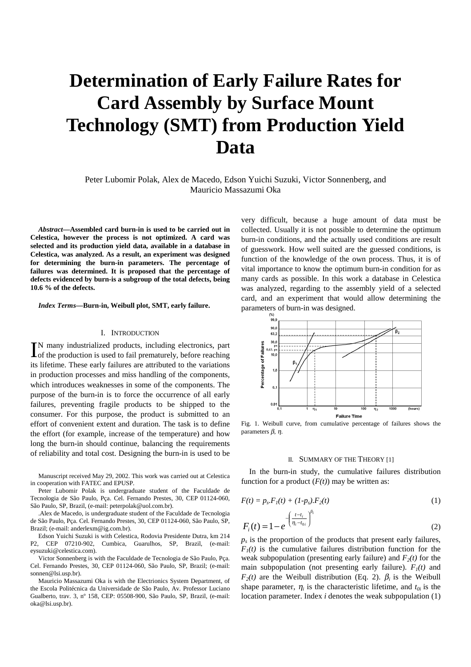# **Determination of Early Failure Rates for Card Assembly by Surface Mount Technology (SMT) from Production Yield Data**

Peter Lubomir Polak, Alex de Macedo, Edson Yuichi Suzuki, Victor Sonnenberg, and Mauricio Massazumi Oka

*Abstract***—Assembled card burn-in is used to be carried out in Celestica, however the process is not optimized. A card was selected and its production yield data, available in a database in Celestica, was analyzed. As a result, an experiment was designed for determining the burn-in parameters. The percentage of failures was determined. It is proposed that the percentage of defects evidenced by burn-is a subgroup of the total defects, being 10.6 % of the defects.**

*Index Terms***—Burn-in, Weibull plot, SMT, early failure.**

# I. INTRODUCTION

N many industrialized products, including electronics, part IN many industrialized products, including electronics, part of the production is used to fail prematurely, before reaching its lifetime. These early failures are attributed to the variations in production processes and miss handling of the components, which introduces weaknesses in some of the components. The purpose of the burn-in is to force the occurrence of all early failures, preventing fragile products to be shipped to the consumer. For this purpose, the product is submitted to an effort of convenient extent and duration. The task is to define the effort (for example, increase of the temperature) and how long the burn-in should continue, balancing the requirements of reliability and total cost. Designing the burn-in is used to be

Manuscript received May 29, 2002. This work was carried out at Celestica in cooperation with FATEC and EPUSP.

Peter Lubomir Polak is undergraduate student of the Faculdade de Tecnologia de São Paulo, Pça. Cel. Fernando Prestes, 30, CEP 01124-060, São Paulo, SP, Brazil, (e-mail: peterpolak@uol.com.br).

.Alex de Macedo, is undergraduate student of the Faculdade de Tecnologia de São Paulo, Pça. Cel. Fernando Prestes, 30, CEP 01124-060, São Paulo, SP, Brazil; (e-mail: anderlexm@ig.com.br).

Edson Yuichi Suzuki is with Celestica, Rodovia Presidente Dutra, km 214 P2, CEP 07210-902, Cumbica, Guarulhos, SP, Brazil, (e-mail: eysuzuki@celestica.com).

Victor Sonnenberg is with the Faculdade de Tecnologia de São Paulo, Pça. Cel. Fernando Prestes, 30, CEP 01124-060, São Paulo, SP, Brazil; (e-mail: sonnen@lsi.usp.br).

Mauricio Massazumi Oka is with the Electrionics System Department, of the Escola Politécnica da Universidade de São Paulo, Av. Professor Luciano Gualberto, trav. 3, nº 158, CEP: 05508-900, São Paulo, SP, Brazil, (e-mail: oka@lsi.usp.br).

very difficult, because a huge amount of data must be collected. Usually it is not possible to determine the optimum burn-in conditions, and the actually used conditions are result of guesswork. How well suited are the guessed conditions, is function of the knowledge of the own process. Thus, it is of vital importance to know the optimum burn-in condition for as many cards as possible. In this work a database in Celestica was analyzed, regarding to the assembly yield of a selected card, and an experiment that would allow determining the parameters of burn-in was designed.



Fig. 1. Weibull curve, from cumulative percentage of failures shows the parameters β, η.

#### II. SUMMARY OF THE THEORY [1]

In the burn-in study, the cumulative failures distribution function for a product  $(F(t))$  may be written as:

$$
F(t) = p_{s} F_{l}(t) + (1 - p_{s}) F_{2}(t)
$$
\n(1)

$$
F_i(t) = 1 - e^{-\left(\frac{t - t_i}{\eta_i - t_{0i}}\right)^{\beta_i}}
$$
\n(2)

 $p<sub>s</sub>$  is the proportion of the products that present early failures,  $F_1(t)$  is the cumulative failures distribution function for the weak subpopulation (presenting early failure) and  $F_2(t)$  for the main subpopulation (not presenting early failure).  $F_1(t)$  and  $F_2(t)$  are the Weibull distribution (Eq. 2).  $\beta_i$  is the Weibull shape parameter,  $\eta_i$  is the characteristic lifetime, and  $t_{0i}$  is the location parameter. Index *i* denotes the weak subpopulation (1)